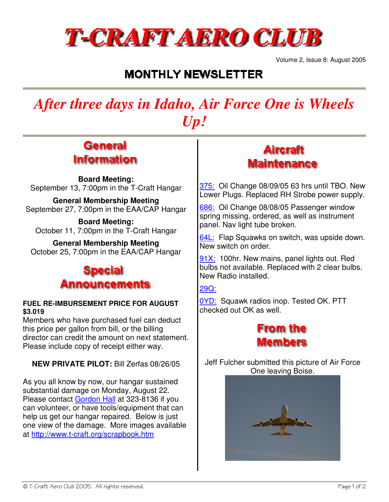

Volume 2, Issue 8: August 2005

# **MONTHLY NEWSLETTER**

# *After three days in Idaho, Air Force One is Wheels Up!*

### General **Information**

**Board Meeting:** September 13, 7:00pm in the T-Craft Hangar

**General Membership Meeting** September 27, 7:00pm in the EAA/CAP Hangar

**Board Meeting:** October 11, 7:00pm in the T-Craft Hangar

**General Membership Meeting** October 25, 7:00pm in the EAA/CAP Hangar

# Special Announcements

### **FUEL RE-IMBURSEMENT PRICE FOR AUGUST \$3.019**

Members who have purchased fuel can deduct this price per gallon from bill, or the billing director can credit the amount on next statement. Please include copy of receipt either way.

### **NEW PRIVATE PILOT:** Bill Zerfas 08/26/05

As you all know by now, our hangar sustained substantial damage on Monday, August 22. Please contact Gordon Hall at 323-8136 if you can volunteer, or have tools/equipment that can help us get our hangar repaired. Below is just one view of the damage. More images available at http://www.t-craft.org/scrapbook.htm

# **Aircraft Maintenance**

375: Oil Change 08/09/05 63 hrs until TBO. New Lower Plugs. Replaced RH Strobe power supply.

686: Oil Change 08/08/05 Passenger window spring missing, ordered, as well as instrument panel. Nav light tube broken.

64L: Flap Squawks on switch, was upside down. New switch on order.

91X: 100hr. New mains, panel lights out. Red bulbs not available. Replaced with 2 clear bulbs. New Radio installed.

29Q:

0YD: Squawk radios inop. Tested OK. PTT checked out OK as well.



Jeff Fulcher submitted this picture of Air Force One leaving Boise.